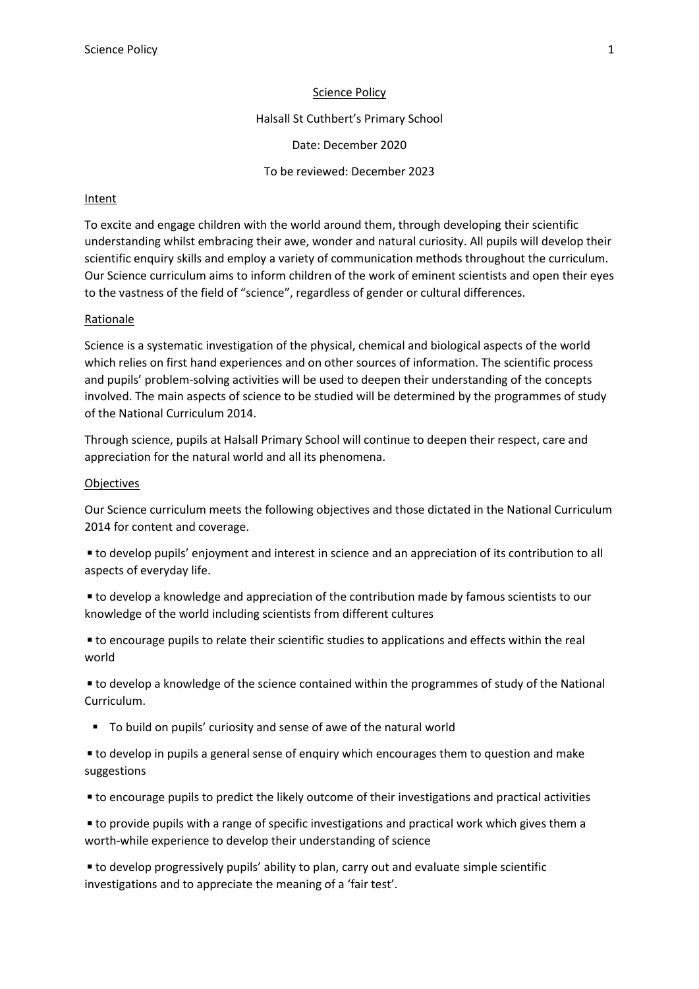### Science Policy

Halsall St Cuthbert's Primary School

Date: December 2020

To be reviewed: December 2023

## Intent

To excite and engage children with the world around them, through developing their scientific understanding whilst embracing their awe, wonder and natural curiosity. All pupils will develop their scientific enquiry skills and employ a variety of communication methods throughout the curriculum. Our Science curriculum aims to inform children of the work of eminent scientists and open their eyes to the vastness of the field of "science", regardless of gender or cultural differences.

### Rationale

Science is a systematic investigation of the physical, chemical and biological aspects of the world which relies on first hand experiences and on other sources of information. The scientific process and pupils' problem-solving activities will be used to deepen their understanding of the concepts involved. The main aspects of science to be studied will be determined by the programmes of study of the National Curriculum 2014.

Through science, pupils at Halsall Primary School will continue to deepen their respect, care and appreciation for the natural world and all its phenomena.

### **Objectives**

Our Science curriculum meets the following objectives and those dictated in the National Curriculum 2014 for content and coverage.

■ to develop pupils' enjoyment and interest in science and an appreciation of its contribution to all aspects of everyday life.

■ to develop a knowledge and appreciation of the contribution made by famous scientists to our knowledge of the world including scientists from different cultures

■ to encourage pupils to relate their scientific studies to applications and effects within the real world

■ to develop a knowledge of the science contained within the programmes of study of the National Curriculum.

To build on pupils' curiosity and sense of awe of the natural world

■ to develop in pupils a general sense of enquiry which encourages them to question and make suggestions

◾to encourage pupils to predict the likely outcome of their investigations and practical activities

■ to provide pupils with a range of specific investigations and practical work which gives them a worth-while experience to develop their understanding of science

■ to develop progressively pupils' ability to plan, carry out and evaluate simple scientific investigations and to appreciate the meaning of a 'fair test'.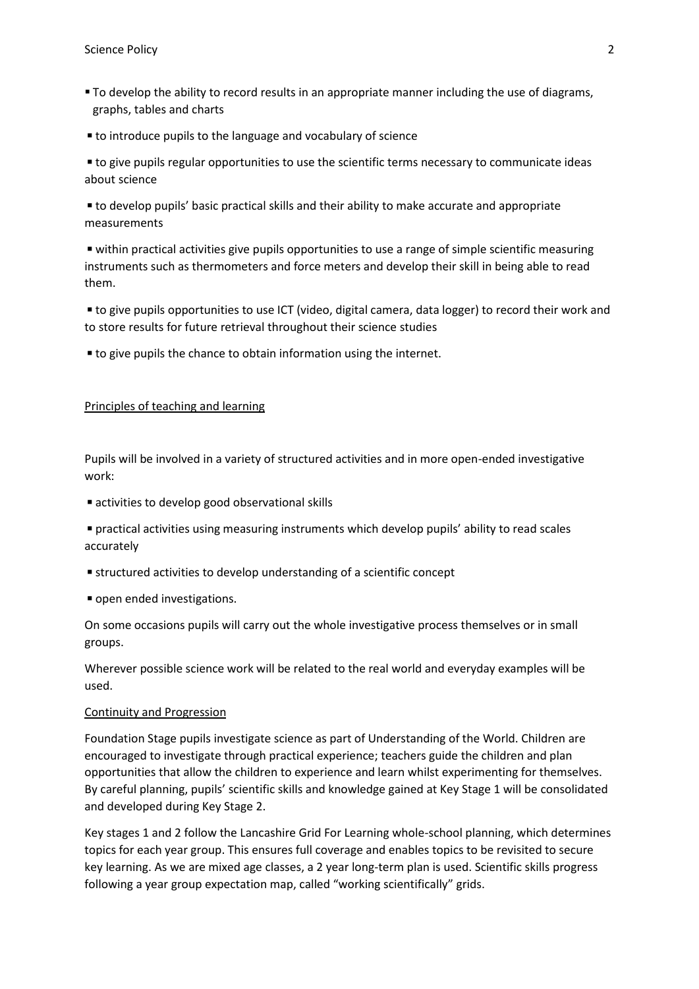- To develop the ability to record results in an appropriate manner including the use of diagrams, graphs, tables and charts
- to introduce pupils to the language and vocabulary of science

■ to give pupils regular opportunities to use the scientific terms necessary to communicate ideas about science

■ to develop pupils' basic practical skills and their ability to make accurate and appropriate measurements

■ within practical activities give pupils opportunities to use a range of simple scientific measuring instruments such as thermometers and force meters and develop their skill in being able to read them.

■ to give pupils opportunities to use ICT (video, digital camera, data logger) to record their work and to store results for future retrieval throughout their science studies

■ to give pupils the chance to obtain information using the internet.

## Principles of teaching and learning

Pupils will be involved in a variety of structured activities and in more open-ended investigative work:

■ activities to develop good observational skills

◾practical activities using measuring instruments which develop pupils' ability to read scales accurately

- structured activities to develop understanding of a scientific concept
- open ended investigations.

On some occasions pupils will carry out the whole investigative process themselves or in small groups.

Wherever possible science work will be related to the real world and everyday examples will be used.

#### Continuity and Progression

Foundation Stage pupils investigate science as part of Understanding of the World. Children are encouraged to investigate through practical experience; teachers guide the children and plan opportunities that allow the children to experience and learn whilst experimenting for themselves. By careful planning, pupils' scientific skills and knowledge gained at Key Stage 1 will be consolidated and developed during Key Stage 2.

Key stages 1 and 2 follow the Lancashire Grid For Learning whole-school planning, which determines topics for each year group. This ensures full coverage and enables topics to be revisited to secure key learning. As we are mixed age classes, a 2 year long-term plan is used. Scientific skills progress following a year group expectation map, called "working scientifically" grids.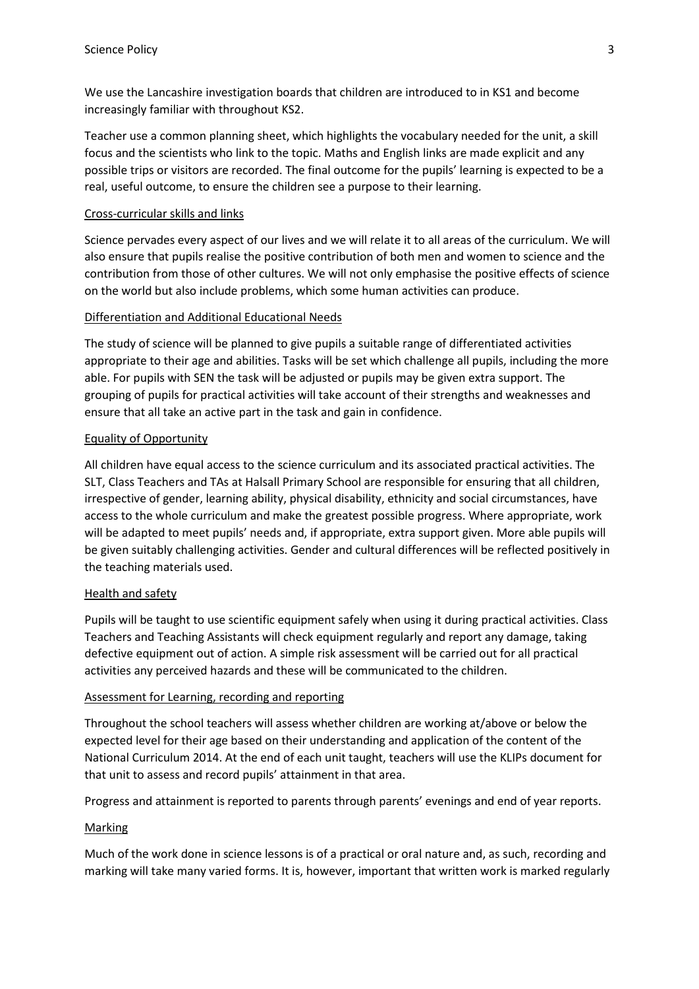We use the Lancashire investigation boards that children are introduced to in KS1 and become increasingly familiar with throughout KS2.

Teacher use a common planning sheet, which highlights the vocabulary needed for the unit, a skill focus and the scientists who link to the topic. Maths and English links are made explicit and any possible trips or visitors are recorded. The final outcome for the pupils' learning is expected to be a real, useful outcome, to ensure the children see a purpose to their learning.

## Cross-curricular skills and links

Science pervades every aspect of our lives and we will relate it to all areas of the curriculum. We will also ensure that pupils realise the positive contribution of both men and women to science and the contribution from those of other cultures. We will not only emphasise the positive effects of science on the world but also include problems, which some human activities can produce.

## Differentiation and Additional Educational Needs

The study of science will be planned to give pupils a suitable range of differentiated activities appropriate to their age and abilities. Tasks will be set which challenge all pupils, including the more able. For pupils with SEN the task will be adjusted or pupils may be given extra support. The grouping of pupils for practical activities will take account of their strengths and weaknesses and ensure that all take an active part in the task and gain in confidence.

## Equality of Opportunity

All children have equal access to the science curriculum and its associated practical activities. The SLT, Class Teachers and TAs at Halsall Primary School are responsible for ensuring that all children, irrespective of gender, learning ability, physical disability, ethnicity and social circumstances, have access to the whole curriculum and make the greatest possible progress. Where appropriate, work will be adapted to meet pupils' needs and, if appropriate, extra support given. More able pupils will be given suitably challenging activities. Gender and cultural differences will be reflected positively in the teaching materials used.

### Health and safety

Pupils will be taught to use scientific equipment safely when using it during practical activities. Class Teachers and Teaching Assistants will check equipment regularly and report any damage, taking defective equipment out of action. A simple risk assessment will be carried out for all practical activities any perceived hazards and these will be communicated to the children.

# Assessment for Learning, recording and reporting

Throughout the school teachers will assess whether children are working at/above or below the expected level for their age based on their understanding and application of the content of the National Curriculum 2014. At the end of each unit taught, teachers will use the KLIPs document for that unit to assess and record pupils' attainment in that area.

Progress and attainment is reported to parents through parents' evenings and end of year reports.

# **Marking**

Much of the work done in science lessons is of a practical or oral nature and, as such, recording and marking will take many varied forms. It is, however, important that written work is marked regularly